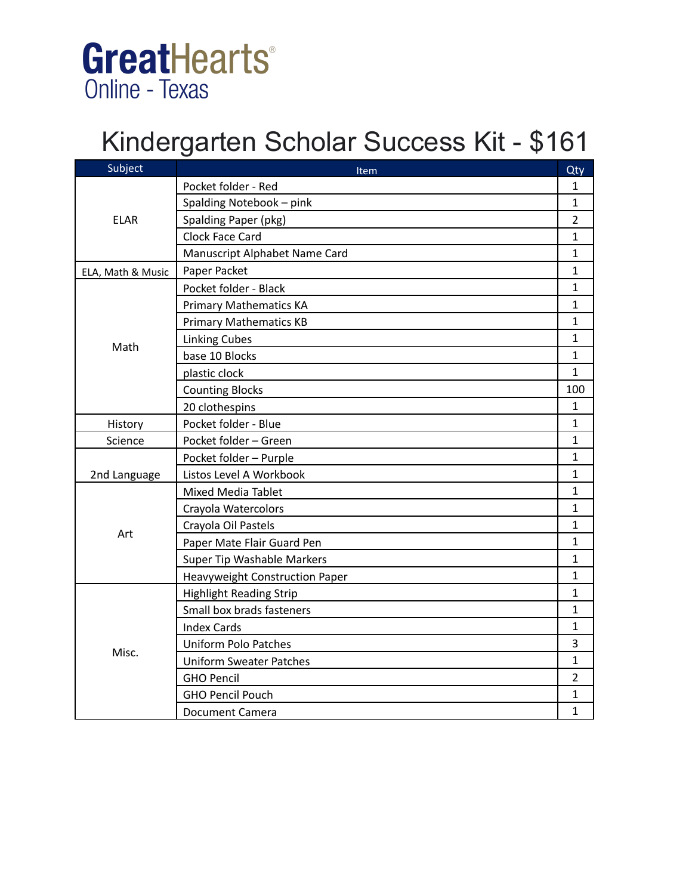# GreatHearts® **Online - Texas**

# Kindergarten Scholar Success Kit - \$161

| Subject           | Item                           | Qty            |
|-------------------|--------------------------------|----------------|
| <b>ELAR</b>       | Pocket folder - Red            | 1              |
|                   | Spalding Notebook - pink       | $\mathbf{1}$   |
|                   | Spalding Paper (pkg)           | $\overline{2}$ |
|                   | Clock Face Card                | 1              |
|                   | Manuscript Alphabet Name Card  | $\mathbf{1}$   |
| ELA, Math & Music | Paper Packet                   | 1              |
|                   | Pocket folder - Black          | $\mathbf{1}$   |
|                   | <b>Primary Mathematics KA</b>  | $\mathbf{1}$   |
|                   | <b>Primary Mathematics KB</b>  | $\mathbf{1}$   |
| Math              | <b>Linking Cubes</b>           | $\mathbf{1}$   |
|                   | base 10 Blocks                 | $\mathbf{1}$   |
|                   | plastic clock                  | $\mathbf{1}$   |
|                   | <b>Counting Blocks</b>         | 100            |
|                   | 20 clothespins                 | $\mathbf{1}$   |
| History           | Pocket folder - Blue           | $\mathbf{1}$   |
| Science           | Pocket folder - Green          | $\mathbf{1}$   |
|                   | Pocket folder - Purple         | $\mathbf{1}$   |
| 2nd Language      | Listos Level A Workbook        | $\mathbf{1}$   |
|                   | <b>Mixed Media Tablet</b>      | $\mathbf{1}$   |
|                   | Crayola Watercolors            | 1              |
|                   | Crayola Oil Pastels            | $\mathbf{1}$   |
| Art               | Paper Mate Flair Guard Pen     | 1              |
|                   | Super Tip Washable Markers     | $\mathbf{1}$   |
|                   | Heavyweight Construction Paper | $\mathbf{1}$   |
|                   | <b>Highlight Reading Strip</b> | $\mathbf{1}$   |
|                   | Small box brads fasteners      | $\mathbf{1}$   |
| Misc.             | <b>Index Cards</b>             | $\mathbf{1}$   |
|                   | <b>Uniform Polo Patches</b>    | 3              |
|                   | <b>Uniform Sweater Patches</b> | $\mathbf{1}$   |
|                   | <b>GHO Pencil</b>              | $\overline{2}$ |
|                   | <b>GHO Pencil Pouch</b>        | $\mathbf{1}$   |
|                   | <b>Document Camera</b>         | $\mathbf{1}$   |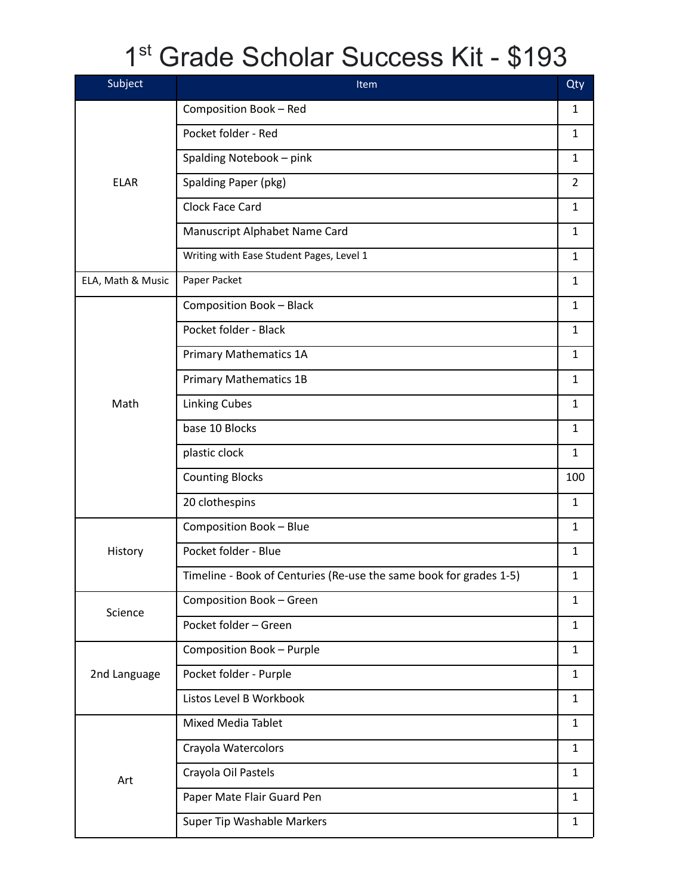# 1 st Grade Scholar Success Kit - \$193

| Subject           | Item                                                               | Qty            |
|-------------------|--------------------------------------------------------------------|----------------|
|                   | Composition Book - Red                                             | $\mathbf{1}$   |
|                   | Pocket folder - Red                                                | $\mathbf{1}$   |
|                   | Spalding Notebook - pink                                           | $\mathbf{1}$   |
| <b>ELAR</b>       | Spalding Paper (pkg)                                               | $\overline{2}$ |
|                   | Clock Face Card                                                    | $\mathbf{1}$   |
|                   | Manuscript Alphabet Name Card                                      | $\mathbf{1}$   |
|                   | Writing with Ease Student Pages, Level 1                           | $\mathbf{1}$   |
| ELA, Math & Music | Paper Packet                                                       | $\mathbf{1}$   |
|                   | <b>Composition Book - Black</b>                                    | $\mathbf{1}$   |
|                   | Pocket folder - Black                                              | $\mathbf{1}$   |
|                   | <b>Primary Mathematics 1A</b>                                      | $\mathbf{1}$   |
|                   | <b>Primary Mathematics 1B</b>                                      | $\mathbf{1}$   |
| Math              | <b>Linking Cubes</b>                                               | $\mathbf{1}$   |
|                   | base 10 Blocks                                                     | $\mathbf{1}$   |
|                   | plastic clock                                                      | $\mathbf{1}$   |
|                   | <b>Counting Blocks</b>                                             | 100            |
|                   | 20 clothespins                                                     | $\mathbf{1}$   |
|                   | Composition Book - Blue                                            | $\mathbf{1}$   |
| History           | Pocket folder - Blue                                               | $\mathbf{1}$   |
|                   | Timeline - Book of Centuries (Re-use the same book for grades 1-5) | $\mathbf{1}$   |
| Science           | Composition Book - Green                                           | $\mathbf{1}$   |
|                   | Pocket folder - Green                                              | $\mathbf{1}$   |
|                   | Composition Book - Purple                                          | $\mathbf{1}$   |
| 2nd Language      | Pocket folder - Purple                                             | $\mathbf{1}$   |
|                   | Listos Level B Workbook                                            | $\mathbf{1}$   |
|                   | Mixed Media Tablet                                                 | $\mathbf{1}$   |
|                   | Crayola Watercolors                                                | $\mathbf{1}$   |
| Art               | Crayola Oil Pastels                                                | $\mathbf{1}$   |
|                   | Paper Mate Flair Guard Pen                                         | $\mathbf{1}$   |
|                   | Super Tip Washable Markers                                         | $\mathbf{1}$   |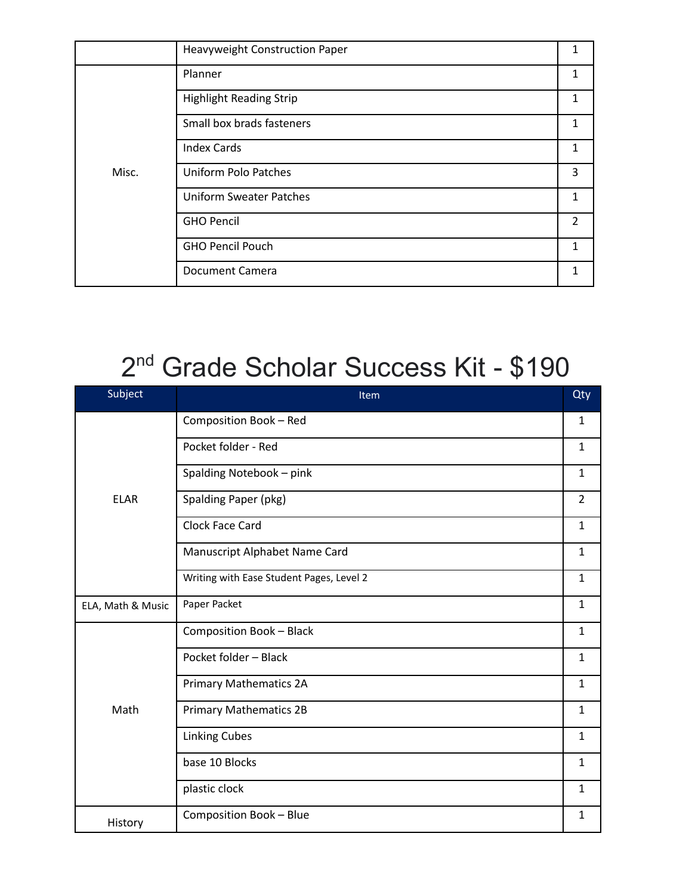|       | Heavyweight Construction Paper |               |
|-------|--------------------------------|---------------|
|       | Planner                        | 1             |
|       | <b>Highlight Reading Strip</b> |               |
|       | Small box brads fasteners      | 1             |
| Misc. | <b>Index Cards</b>             | 1             |
|       | <b>Uniform Polo Patches</b>    | 3             |
|       | <b>Uniform Sweater Patches</b> | 1             |
|       | <b>GHO Pencil</b>              | $\mathcal{P}$ |
|       | <b>GHO Pencil Pouch</b>        | 1             |
|       | Document Camera                |               |

### 2<sup>nd</sup> Grade Scholar Success Kit - \$190

| Subject           | Item                                     | Qty            |
|-------------------|------------------------------------------|----------------|
|                   | Composition Book - Red                   | 1              |
|                   | Pocket folder - Red                      | $\mathbf{1}$   |
|                   | Spalding Notebook - pink                 | $\mathbf{1}$   |
| <b>ELAR</b>       | Spalding Paper (pkg)                     | $\overline{2}$ |
|                   | Clock Face Card                          | $\mathbf{1}$   |
|                   | Manuscript Alphabet Name Card            | $\mathbf{1}$   |
|                   | Writing with Ease Student Pages, Level 2 | $\mathbf{1}$   |
| ELA, Math & Music | Paper Packet                             | $\mathbf{1}$   |
|                   | <b>Composition Book - Black</b>          | $\mathbf{1}$   |
|                   | Pocket folder - Black                    | $\mathbf{1}$   |
|                   | <b>Primary Mathematics 2A</b>            | $\mathbf{1}$   |
| Math              | <b>Primary Mathematics 2B</b>            | $\mathbf{1}$   |
|                   | <b>Linking Cubes</b>                     | $\mathbf{1}$   |
|                   | base 10 Blocks                           | $\mathbf{1}$   |
|                   | plastic clock                            | $\mathbf{1}$   |
| History           | Composition Book - Blue                  | $\mathbf{1}$   |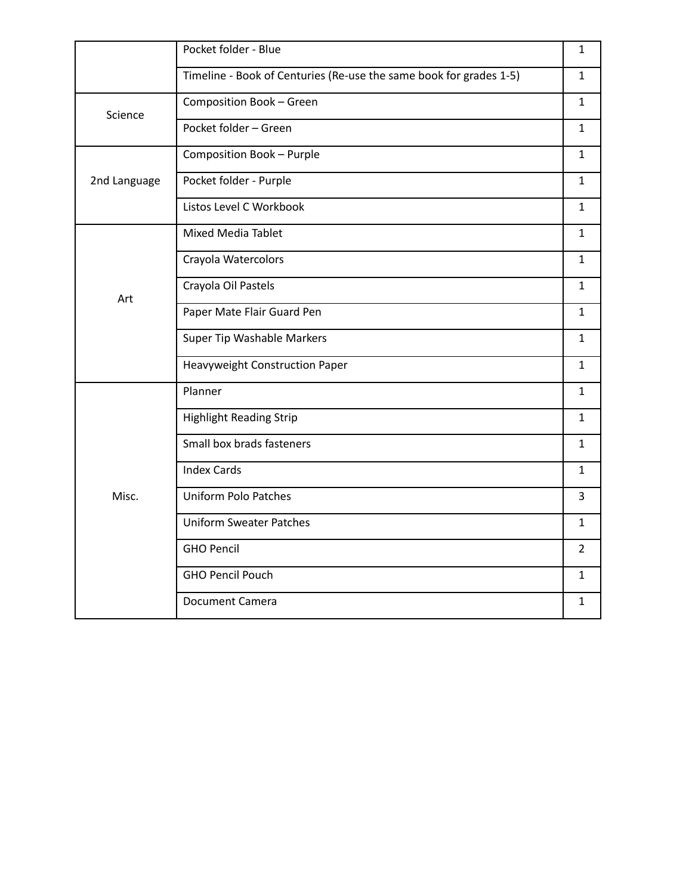|              | Pocket folder - Blue                                               | $\mathbf{1}$   |
|--------------|--------------------------------------------------------------------|----------------|
|              | Timeline - Book of Centuries (Re-use the same book for grades 1-5) | $\mathbf{1}$   |
| Science      | Composition Book - Green                                           | $\mathbf{1}$   |
|              | Pocket folder - Green                                              | $\mathbf{1}$   |
|              | Composition Book - Purple                                          | $\mathbf{1}$   |
| 2nd Language | Pocket folder - Purple                                             | $\mathbf{1}$   |
|              | Listos Level C Workbook                                            | $\mathbf{1}$   |
|              | Mixed Media Tablet                                                 | $\mathbf{1}$   |
|              | Crayola Watercolors                                                | $\mathbf{1}$   |
| Art          | Crayola Oil Pastels                                                | $\mathbf{1}$   |
|              | Paper Mate Flair Guard Pen                                         | $\mathbf{1}$   |
|              | Super Tip Washable Markers                                         | $\mathbf{1}$   |
|              | <b>Heavyweight Construction Paper</b>                              | $\mathbf{1}$   |
|              | Planner                                                            | $\mathbf{1}$   |
|              | <b>Highlight Reading Strip</b>                                     | $\mathbf{1}$   |
|              | Small box brads fasteners                                          | $\mathbf{1}$   |
| Misc.        | <b>Index Cards</b>                                                 | $\mathbf{1}$   |
|              | <b>Uniform Polo Patches</b>                                        | $\overline{3}$ |
|              | <b>Uniform Sweater Patches</b>                                     | $\mathbf{1}$   |
|              | <b>GHO Pencil</b>                                                  | $\overline{2}$ |
|              | <b>GHO Pencil Pouch</b>                                            | $\mathbf{1}$   |
|              | <b>Document Camera</b>                                             | $\mathbf{1}$   |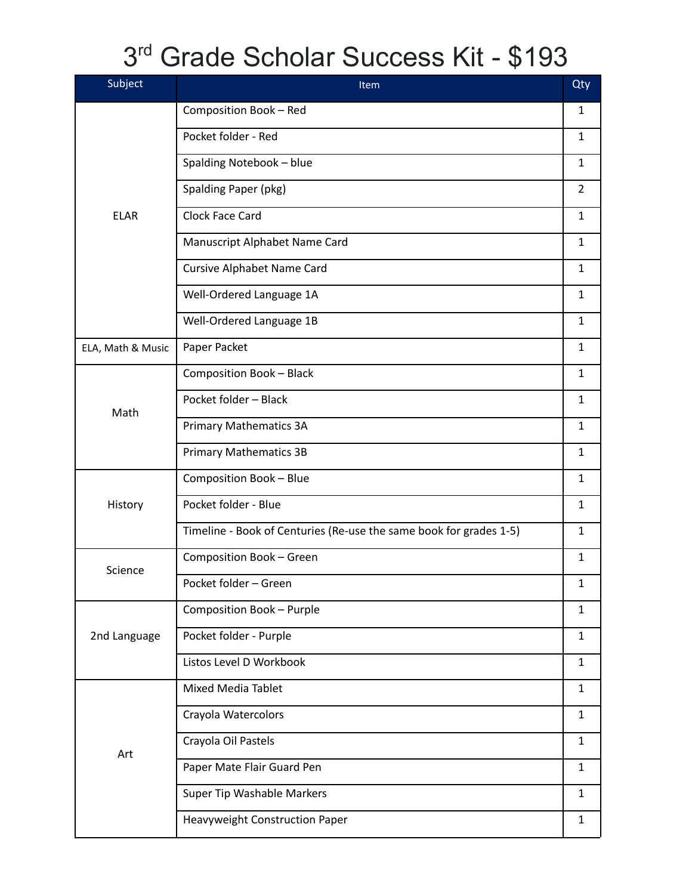# 3 rd Grade Scholar Success Kit - \$193

| Subject           | Item                                                               | Qty            |
|-------------------|--------------------------------------------------------------------|----------------|
|                   | Composition Book - Red                                             | 1              |
|                   | Pocket folder - Red                                                | $\mathbf{1}$   |
|                   | Spalding Notebook - blue                                           | $\mathbf{1}$   |
|                   | Spalding Paper (pkg)                                               | $\overline{2}$ |
| <b>ELAR</b>       | Clock Face Card                                                    | $\mathbf{1}$   |
|                   | Manuscript Alphabet Name Card                                      | $\mathbf{1}$   |
|                   | <b>Cursive Alphabet Name Card</b>                                  | $\mathbf{1}$   |
|                   | Well-Ordered Language 1A                                           | $\mathbf{1}$   |
|                   | Well-Ordered Language 1B                                           | $\mathbf{1}$   |
| ELA, Math & Music | Paper Packet                                                       | $\mathbf{1}$   |
|                   | <b>Composition Book - Black</b>                                    | $\mathbf{1}$   |
| Math              | Pocket folder - Black                                              | $\mathbf{1}$   |
|                   | <b>Primary Mathematics 3A</b>                                      | $\mathbf{1}$   |
|                   | <b>Primary Mathematics 3B</b>                                      | $\mathbf{1}$   |
|                   | Composition Book - Blue                                            | $\mathbf{1}$   |
| History           | Pocket folder - Blue                                               | $\mathbf{1}$   |
|                   | Timeline - Book of Centuries (Re-use the same book for grades 1-5) | $\mathbf{1}$   |
| Science           | Composition Book - Green                                           | $\mathbf{1}$   |
|                   | Pocket folder - Green                                              | $\mathbf 1$    |
|                   | Composition Book - Purple                                          | $\mathbf{1}$   |
| 2nd Language      | Pocket folder - Purple                                             | $\mathbf{1}$   |
|                   | Listos Level D Workbook                                            | $\mathbf{1}$   |
|                   | <b>Mixed Media Tablet</b>                                          | $\mathbf{1}$   |
|                   | Crayola Watercolors                                                | $\mathbf{1}$   |
| Art               | Crayola Oil Pastels                                                | $\mathbf{1}$   |
|                   | Paper Mate Flair Guard Pen                                         | $\mathbf{1}$   |
|                   | Super Tip Washable Markers                                         | $\mathbf{1}$   |
|                   | Heavyweight Construction Paper                                     | $\mathbf{1}$   |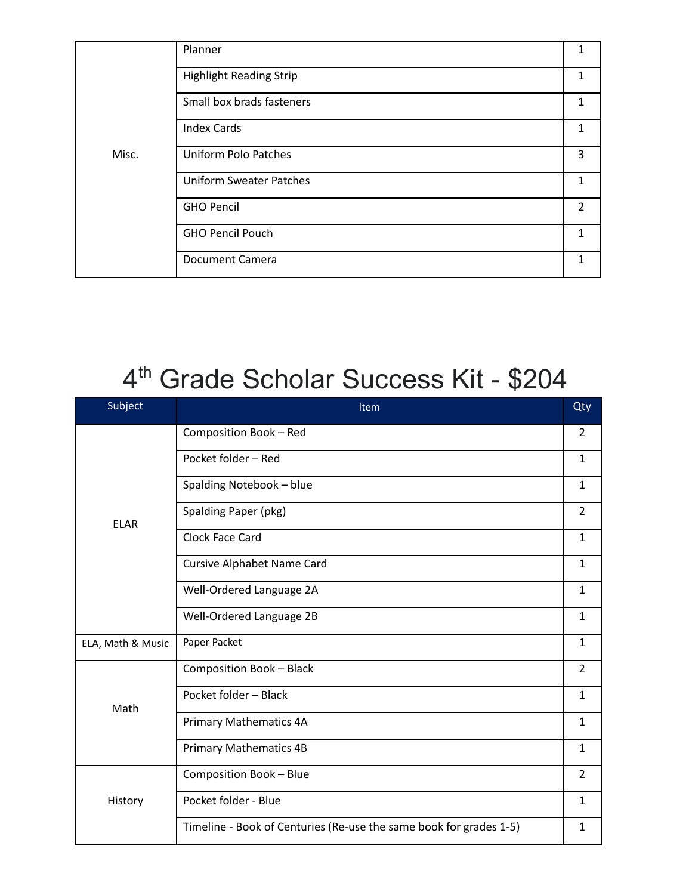|       | Planner                        |                |
|-------|--------------------------------|----------------|
|       | <b>Highlight Reading Strip</b> | 1              |
|       | Small box brads fasteners      | 1              |
|       | <b>Index Cards</b>             |                |
| Misc. | <b>Uniform Polo Patches</b>    | 3              |
|       | <b>Uniform Sweater Patches</b> |                |
|       | <b>GHO Pencil</b>              | $\overline{2}$ |
|       | <b>GHO Pencil Pouch</b>        | 1.             |
|       | <b>Document Camera</b>         |                |

#### 4 th Grade Scholar Success Kit - \$204

| Subject           | Item                                                               | Qty            |
|-------------------|--------------------------------------------------------------------|----------------|
|                   | Composition Book - Red                                             | $\overline{2}$ |
|                   | Pocket folder - Red                                                | $\mathbf{1}$   |
|                   | Spalding Notebook - blue                                           | $\mathbf{1}$   |
| <b>ELAR</b>       | Spalding Paper (pkg)                                               | $\overline{2}$ |
|                   | Clock Face Card                                                    | $\mathbf{1}$   |
|                   | <b>Cursive Alphabet Name Card</b>                                  | $\mathbf{1}$   |
|                   | Well-Ordered Language 2A                                           | $\mathbf{1}$   |
|                   | Well-Ordered Language 2B                                           | $\mathbf{1}$   |
| ELA, Math & Music | Paper Packet                                                       | $\mathbf{1}$   |
|                   | Composition Book - Black                                           | $\overline{2}$ |
| Math              | Pocket folder - Black                                              | $\mathbf{1}$   |
|                   | <b>Primary Mathematics 4A</b>                                      | $\mathbf{1}$   |
|                   | <b>Primary Mathematics 4B</b>                                      | $\mathbf{1}$   |
|                   | Composition Book - Blue                                            | $\overline{2}$ |
| History           | Pocket folder - Blue                                               | $\mathbf{1}$   |
|                   | Timeline - Book of Centuries (Re-use the same book for grades 1-5) | $\mathbf{1}$   |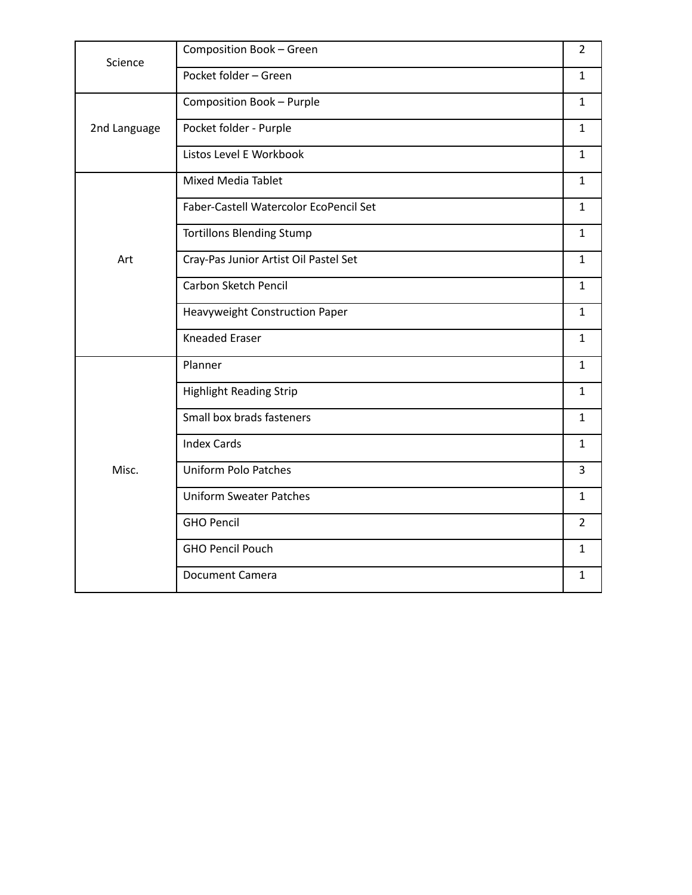| Science      | Composition Book - Green               | $\overline{2}$ |
|--------------|----------------------------------------|----------------|
|              | Pocket folder - Green                  | $\mathbf{1}$   |
|              | Composition Book - Purple              | $\mathbf{1}$   |
| 2nd Language | Pocket folder - Purple                 | $\mathbf{1}$   |
|              | Listos Level E Workbook                | $\mathbf{1}$   |
|              | <b>Mixed Media Tablet</b>              | $\mathbf{1}$   |
|              | Faber-Castell Watercolor EcoPencil Set | $\mathbf{1}$   |
|              | <b>Tortillons Blending Stump</b>       | $\mathbf{1}$   |
| Art          | Cray-Pas Junior Artist Oil Pastel Set  | $\mathbf{1}$   |
|              | Carbon Sketch Pencil                   | $\mathbf{1}$   |
|              | Heavyweight Construction Paper         | $\mathbf{1}$   |
|              | <b>Kneaded Eraser</b>                  | $\mathbf{1}$   |
|              | Planner                                | $\mathbf{1}$   |
|              | <b>Highlight Reading Strip</b>         | $\mathbf{1}$   |
|              | Small box brads fasteners              | $\mathbf{1}$   |
|              | <b>Index Cards</b>                     | $\mathbf{1}$   |
| Misc.        | <b>Uniform Polo Patches</b>            | 3              |
|              | <b>Uniform Sweater Patches</b>         | $\mathbf{1}$   |
|              | <b>GHO Pencil</b>                      | $\overline{2}$ |
|              | <b>GHO Pencil Pouch</b>                | $\mathbf{1}$   |
|              | <b>Document Camera</b>                 | $\mathbf{1}$   |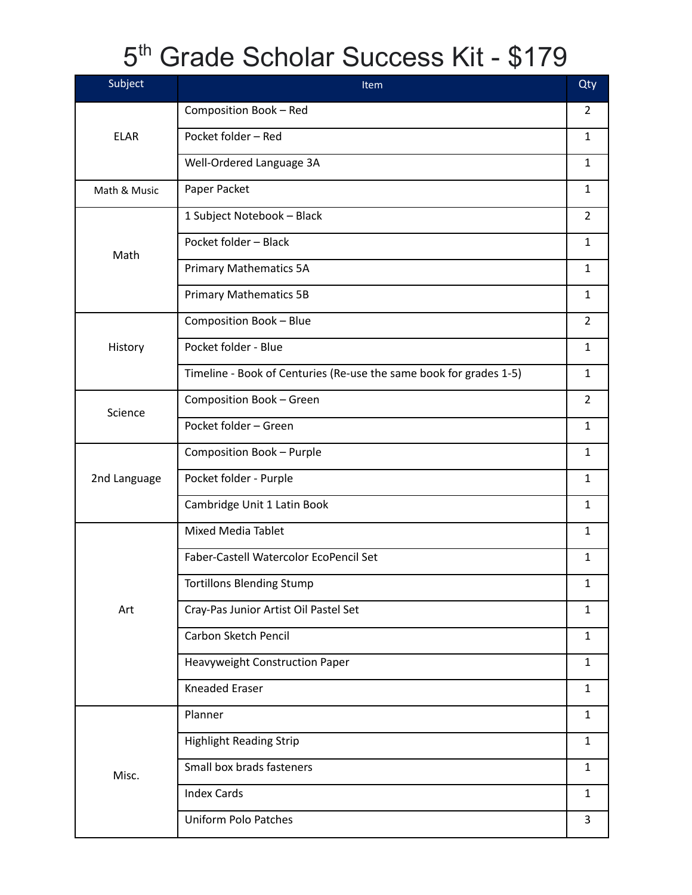## 5<sup>th</sup> Grade Scholar Success Kit - \$179

| Subject      | Item                                                               | Qty            |
|--------------|--------------------------------------------------------------------|----------------|
|              | Composition Book - Red                                             | $\overline{2}$ |
| <b>ELAR</b>  | Pocket folder - Red                                                | $\mathbf{1}$   |
|              | Well-Ordered Language 3A                                           | $\mathbf{1}$   |
| Math & Music | Paper Packet                                                       | $\mathbf{1}$   |
|              | 1 Subject Notebook - Black                                         | $\overline{2}$ |
| Math         | Pocket folder - Black                                              | $\mathbf{1}$   |
|              | <b>Primary Mathematics 5A</b>                                      | $\mathbf{1}$   |
|              | <b>Primary Mathematics 5B</b>                                      | $\mathbf{1}$   |
|              | Composition Book - Blue                                            | $\overline{2}$ |
| History      | Pocket folder - Blue                                               | $\mathbf{1}$   |
|              | Timeline - Book of Centuries (Re-use the same book for grades 1-5) | $\mathbf{1}$   |
| Science      | Composition Book - Green                                           | $\overline{2}$ |
|              | Pocket folder - Green                                              | $\mathbf{1}$   |
|              | Composition Book - Purple                                          | $\mathbf{1}$   |
| 2nd Language | Pocket folder - Purple                                             | $\mathbf{1}$   |
|              | Cambridge Unit 1 Latin Book                                        | $\mathbf{1}$   |
|              | Mixed Media Tablet                                                 | $\mathbf{1}$   |
|              | Faber-Castell Watercolor EcoPencil Set                             | $\mathbf{1}$   |
|              | <b>Tortillons Blending Stump</b>                                   | $\mathbf 1$    |
| Art          | Cray-Pas Junior Artist Oil Pastel Set                              | $\mathbf{1}$   |
|              | Carbon Sketch Pencil                                               | $\mathbf{1}$   |
|              | Heavyweight Construction Paper                                     | $\mathbf{1}$   |
|              | <b>Kneaded Eraser</b>                                              | $\mathbf{1}$   |
|              | Planner                                                            | $\mathbf{1}$   |
|              | <b>Highlight Reading Strip</b>                                     | $\mathbf{1}$   |
| Misc.        | Small box brads fasteners                                          | $\mathbf{1}$   |
|              | <b>Index Cards</b>                                                 | $\mathbf{1}$   |
|              | <b>Uniform Polo Patches</b>                                        | 3              |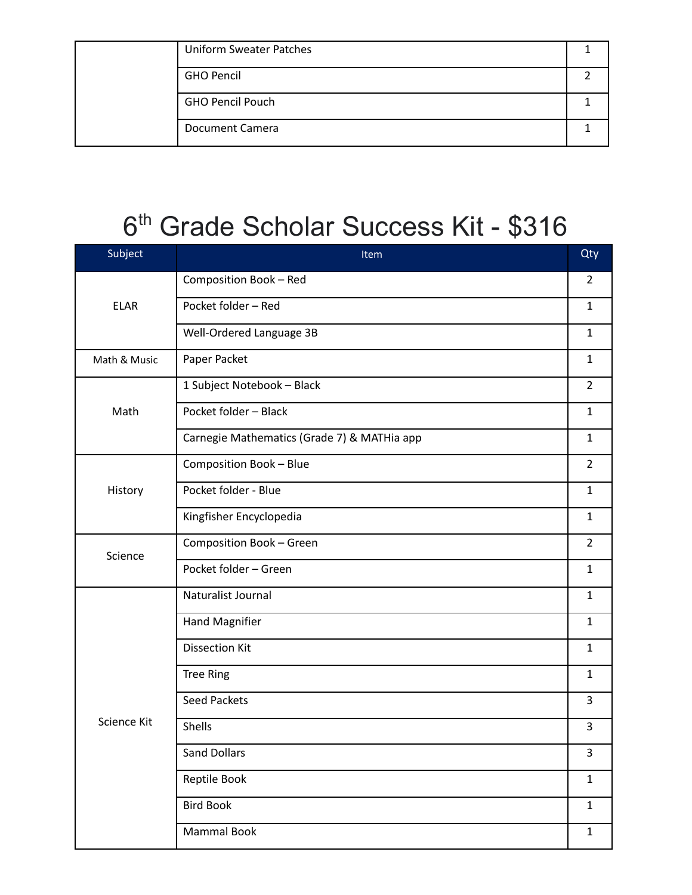|  | <b>Uniform Sweater Patches</b> |  |
|--|--------------------------------|--|
|  | <b>GHO Pencil</b>              |  |
|  | <b>GHO Pencil Pouch</b>        |  |
|  | Document Camera                |  |

### 6 th Grade Scholar Success Kit - \$316

| Subject      | Item                                        | Qty            |
|--------------|---------------------------------------------|----------------|
|              | Composition Book - Red                      | $\overline{2}$ |
| <b>ELAR</b>  | Pocket folder - Red                         | $\mathbf{1}$   |
|              | Well-Ordered Language 3B                    | $\mathbf{1}$   |
| Math & Music | Paper Packet                                | $\mathbf{1}$   |
|              | 1 Subject Notebook - Black                  | $\overline{2}$ |
| Math         | Pocket folder - Black                       | $\mathbf{1}$   |
|              | Carnegie Mathematics (Grade 7) & MATHia app | $\mathbf{1}$   |
|              | Composition Book - Blue                     | $\overline{2}$ |
| History      | Pocket folder - Blue                        | $\mathbf{1}$   |
|              | Kingfisher Encyclopedia                     | $\mathbf{1}$   |
| Science      | Composition Book - Green                    | $\overline{2}$ |
|              | Pocket folder - Green                       | $\mathbf{1}$   |
|              | Naturalist Journal                          | $\mathbf{1}$   |
|              | <b>Hand Magnifier</b>                       | $\mathbf{1}$   |
|              | <b>Dissection Kit</b>                       | $\mathbf{1}$   |
|              | <b>Tree Ring</b>                            | $\mathbf{1}$   |
|              | <b>Seed Packets</b>                         | $\overline{3}$ |
| Science Kit  | Shells                                      | 3              |
|              | <b>Sand Dollars</b>                         | 3              |
|              | Reptile Book                                | $\mathbf{1}$   |
|              | <b>Bird Book</b>                            | $\mathbf{1}$   |
|              | Mammal Book                                 | $\mathbf 1$    |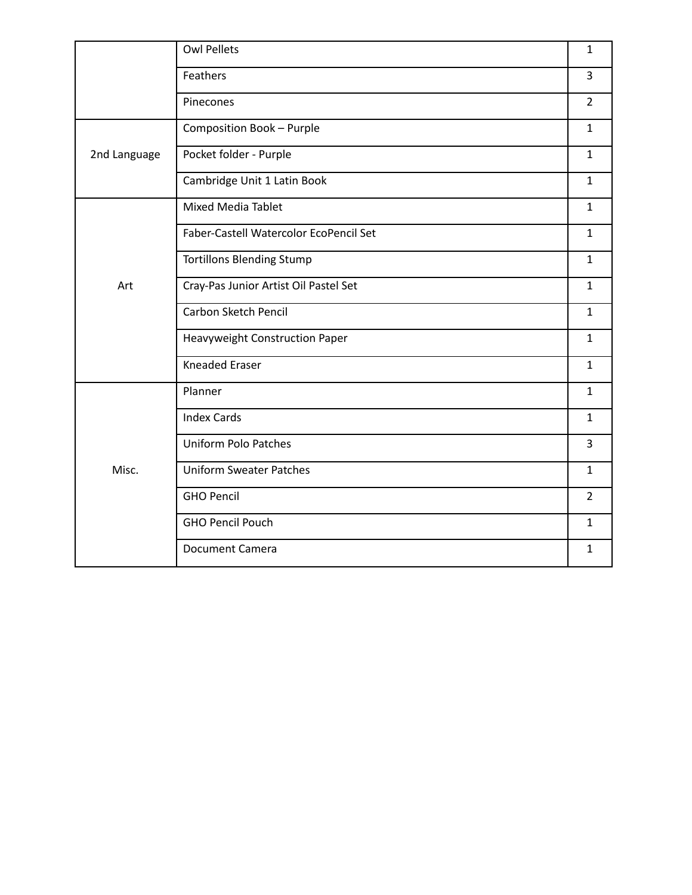|              | <b>Owl Pellets</b>                     | $\mathbf{1}$   |
|--------------|----------------------------------------|----------------|
|              | Feathers                               | $\overline{3}$ |
|              | Pinecones                              | $\overline{2}$ |
| 2nd Language | Composition Book - Purple              | $\mathbf{1}$   |
|              | Pocket folder - Purple                 | $\mathbf{1}$   |
|              | Cambridge Unit 1 Latin Book            | $\mathbf{1}$   |
| Art          | <b>Mixed Media Tablet</b>              | $\mathbf{1}$   |
|              | Faber-Castell Watercolor EcoPencil Set | $\mathbf{1}$   |
|              | <b>Tortillons Blending Stump</b>       | $\mathbf{1}$   |
|              | Cray-Pas Junior Artist Oil Pastel Set  | $\mathbf{1}$   |
|              | Carbon Sketch Pencil                   | $\mathbf{1}$   |
|              | Heavyweight Construction Paper         | $\mathbf{1}$   |
|              | <b>Kneaded Eraser</b>                  | $\mathbf{1}$   |
| Misc.        | Planner                                | $\mathbf{1}$   |
|              | <b>Index Cards</b>                     | $\mathbf{1}$   |
|              | <b>Uniform Polo Patches</b>            | $\overline{3}$ |
|              | <b>Uniform Sweater Patches</b>         | $\mathbf{1}$   |
|              | <b>GHO Pencil</b>                      | $\overline{2}$ |
|              | <b>GHO Pencil Pouch</b>                | $\mathbf{1}$   |
|              | <b>Document Camera</b>                 | $\mathbf{1}$   |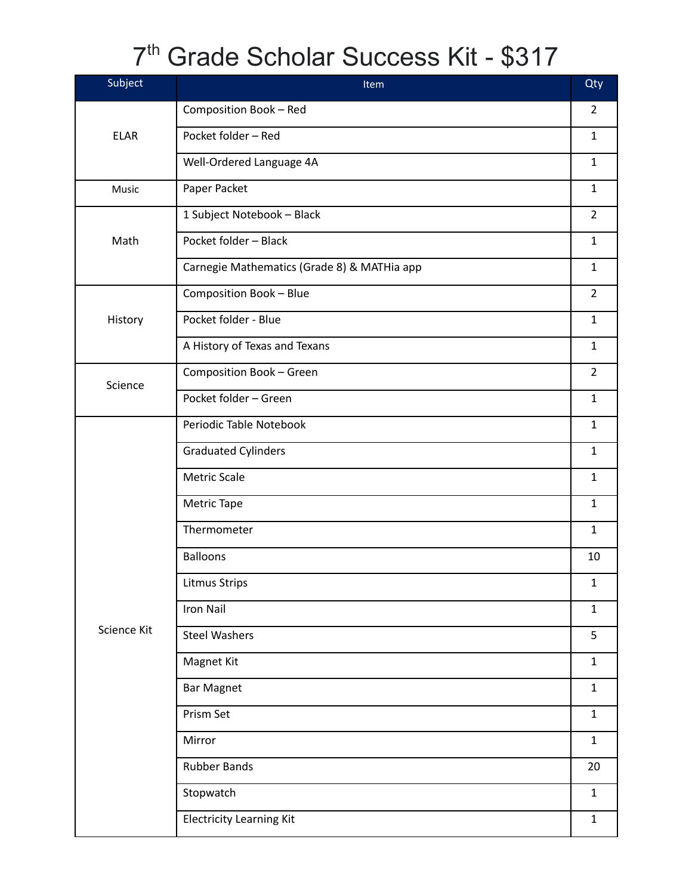### 7 th Grade Scholar Success Kit - \$317

| Subject     | Item                                        | Qty            |
|-------------|---------------------------------------------|----------------|
| <b>ELAR</b> | Composition Book - Red                      | $\overline{2}$ |
|             | Pocket folder - Red                         | $\mathbf{1}$   |
|             | Well-Ordered Language 4A                    | $\mathbf{1}$   |
| Music       | Paper Packet                                | $\mathbf{1}$   |
| Math        | 1 Subject Notebook - Black                  | $\overline{2}$ |
|             | Pocket folder - Black                       | $\mathbf{1}$   |
|             | Carnegie Mathematics (Grade 8) & MATHia app | $\mathbf{1}$   |
| History     | Composition Book - Blue                     | $\overline{2}$ |
|             | Pocket folder - Blue                        | $\mathbf{1}$   |
|             | A History of Texas and Texans               | $\mathbf{1}$   |
|             | Composition Book - Green                    | $\overline{2}$ |
| Science     | Pocket folder - Green                       | $\mathbf{1}$   |
|             | Periodic Table Notebook                     | $\mathbf{1}$   |
|             | <b>Graduated Cylinders</b>                  | $\mathbf{1}$   |
|             | Metric Scale                                | $\mathbf{1}$   |
|             | Metric Tape                                 | $\mathbf{1}$   |
|             | Thermometer                                 | $\mathbf{1}$   |
|             | <b>Balloons</b>                             | 10             |
|             | <b>Litmus Strips</b>                        | $\mathbf 1$    |
|             | Iron Nail                                   | $\mathbf{1}$   |
| Science Kit | <b>Steel Washers</b>                        | 5              |
|             | Magnet Kit                                  | $\mathbf{1}$   |
|             | <b>Bar Magnet</b>                           | $\mathbf{1}$   |
|             | Prism Set                                   | $\mathbf 1$    |
|             | Mirror                                      | $\mathbf{1}$   |
|             | <b>Rubber Bands</b>                         | 20             |
|             | Stopwatch                                   | $\mathbf{1}$   |
|             | <b>Electricity Learning Kit</b>             | $\mathbf 1$    |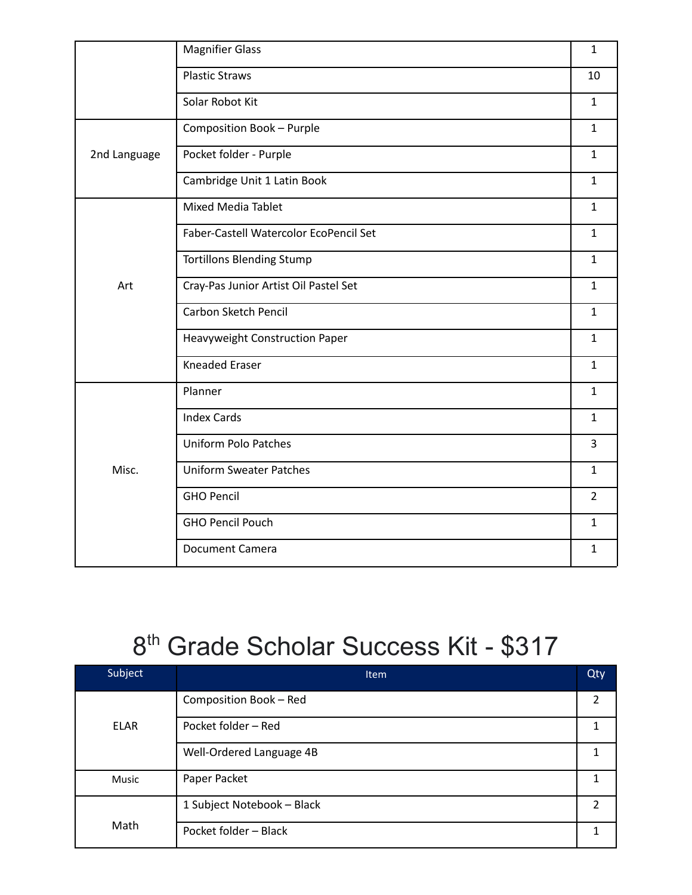|              | <b>Magnifier Glass</b>                 | $\mathbf 1$    |
|--------------|----------------------------------------|----------------|
|              | <b>Plastic Straws</b>                  | 10             |
|              | Solar Robot Kit                        | $\mathbf{1}$   |
| 2nd Language | Composition Book - Purple              | $\mathbf{1}$   |
|              | Pocket folder - Purple                 | $\mathbf{1}$   |
|              | Cambridge Unit 1 Latin Book            | $\mathbf{1}$   |
|              | <b>Mixed Media Tablet</b>              | $\mathbf{1}$   |
|              | Faber-Castell Watercolor EcoPencil Set | $\mathbf{1}$   |
|              | <b>Tortillons Blending Stump</b>       | $\mathbf{1}$   |
| Art          | Cray-Pas Junior Artist Oil Pastel Set  | $\mathbf{1}$   |
|              | Carbon Sketch Pencil                   | $\mathbf{1}$   |
|              | Heavyweight Construction Paper         | $\mathbf{1}$   |
|              | <b>Kneaded Eraser</b>                  | $\mathbf{1}$   |
| Misc.        | Planner                                | $\mathbf{1}$   |
|              | <b>Index Cards</b>                     | $\mathbf{1}$   |
|              | <b>Uniform Polo Patches</b>            | 3              |
|              | <b>Uniform Sweater Patches</b>         | $\mathbf{1}$   |
|              | <b>GHO Pencil</b>                      | $\overline{2}$ |
|              | <b>GHO Pencil Pouch</b>                | $\mathbf{1}$   |
|              | <b>Document Camera</b>                 | $\mathbf{1}$   |
|              |                                        |                |

### 8<sup>th</sup> Grade Scholar Success Kit - \$317

| Subject      | <b>Item</b>                | Qty            |
|--------------|----------------------------|----------------|
| <b>ELAR</b>  | Composition Book - Red     | $\overline{2}$ |
|              | Pocket folder - Red        |                |
|              | Well-Ordered Language 4B   |                |
| <b>Music</b> | Paper Packet               |                |
| Math         | 1 Subject Notebook - Black | $\mathfrak{p}$ |
|              | Pocket folder - Black      |                |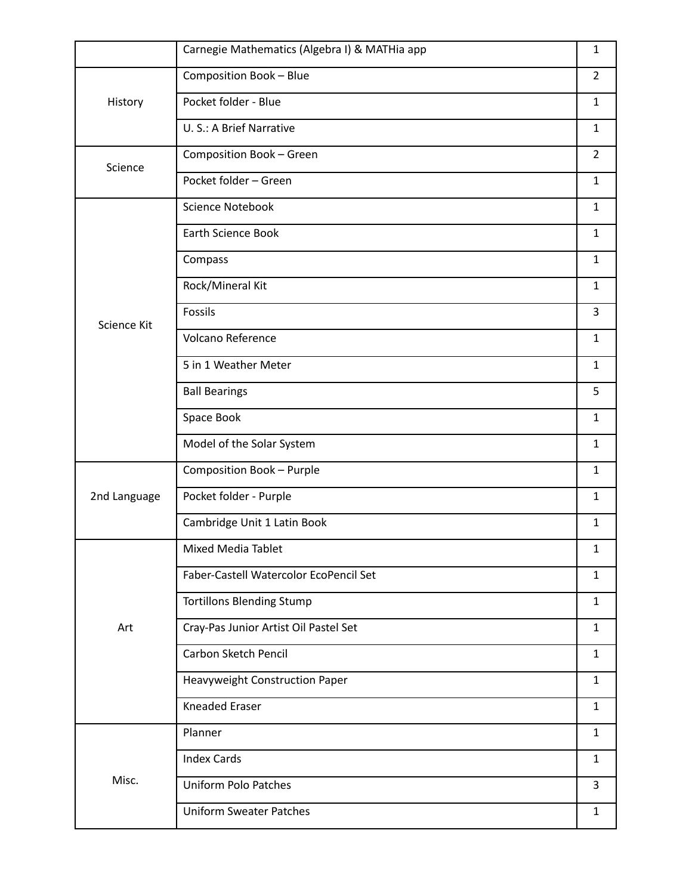|              | Carnegie Mathematics (Algebra I) & MATHia app | $\mathbf{1}$   |
|--------------|-----------------------------------------------|----------------|
| History      | Composition Book - Blue                       | $\overline{2}$ |
|              | Pocket folder - Blue                          | $\mathbf{1}$   |
|              | U. S.: A Brief Narrative                      | $\mathbf{1}$   |
| Science      | Composition Book - Green                      | $\overline{2}$ |
|              | Pocket folder - Green                         | $\mathbf{1}$   |
|              | Science Notebook                              | $\mathbf{1}$   |
|              | <b>Earth Science Book</b>                     | $\mathbf{1}$   |
|              | Compass                                       | $\mathbf{1}$   |
|              | Rock/Mineral Kit                              | $\mathbf{1}$   |
| Science Kit  | Fossils                                       | 3              |
|              | Volcano Reference                             | $\mathbf{1}$   |
|              | 5 in 1 Weather Meter                          | $\mathbf{1}$   |
|              | <b>Ball Bearings</b>                          | 5              |
|              | Space Book                                    | $\mathbf{1}$   |
|              | Model of the Solar System                     | $\mathbf{1}$   |
|              | Composition Book - Purple                     | $\mathbf{1}$   |
| 2nd Language | Pocket folder - Purple                        | $\mathbf{1}$   |
|              | Cambridge Unit 1 Latin Book                   | $\mathbf{1}$   |
|              | Mixed Media Tablet                            | $\mathbf{1}$   |
|              | Faber-Castell Watercolor EcoPencil Set        | $\mathbf{1}$   |
|              | <b>Tortillons Blending Stump</b>              | $\mathbf{1}$   |
| Art          | Cray-Pas Junior Artist Oil Pastel Set         | $\mathbf{1}$   |
|              | Carbon Sketch Pencil                          | $\mathbf{1}$   |
|              | Heavyweight Construction Paper                | $\mathbf{1}$   |
|              | Kneaded Eraser                                | $\mathbf{1}$   |
|              | Planner                                       | $\mathbf{1}$   |
| Misc.        | <b>Index Cards</b>                            | $\mathbf{1}$   |
|              | <b>Uniform Polo Patches</b>                   | 3              |
|              | <b>Uniform Sweater Patches</b>                | $\mathbf{1}$   |